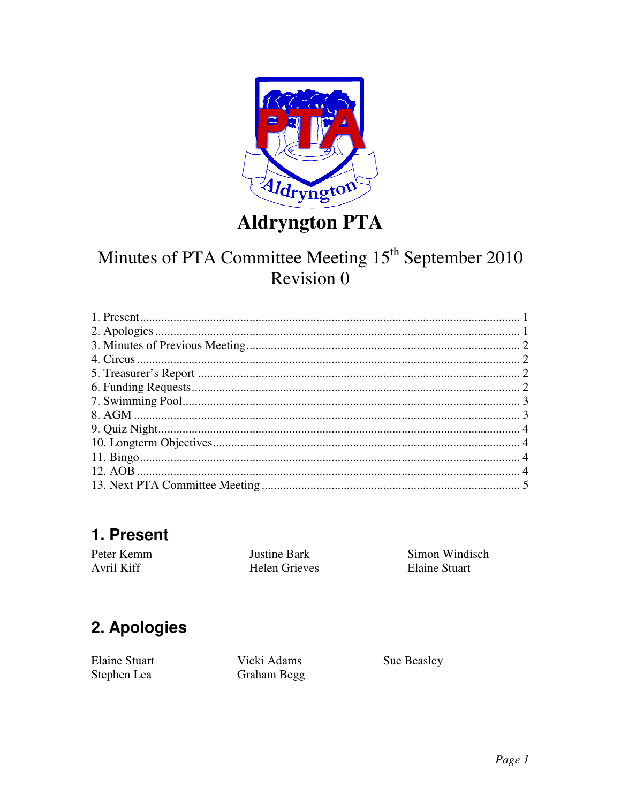

## **Aldryngton PTA**

## Minutes of PTA Committee Meeting 15<sup>th</sup> September 2010 Revision 0

## 1. Present

Peter Kemm **Justine Bark** Avril Kiff Helen Grieves

Simon Windisch **Elaine Stuart** 

## 2. Apologies

**Elaine Stuart** Stephen Lea

Vicki Adams **Graham Begg**  Sue Beasley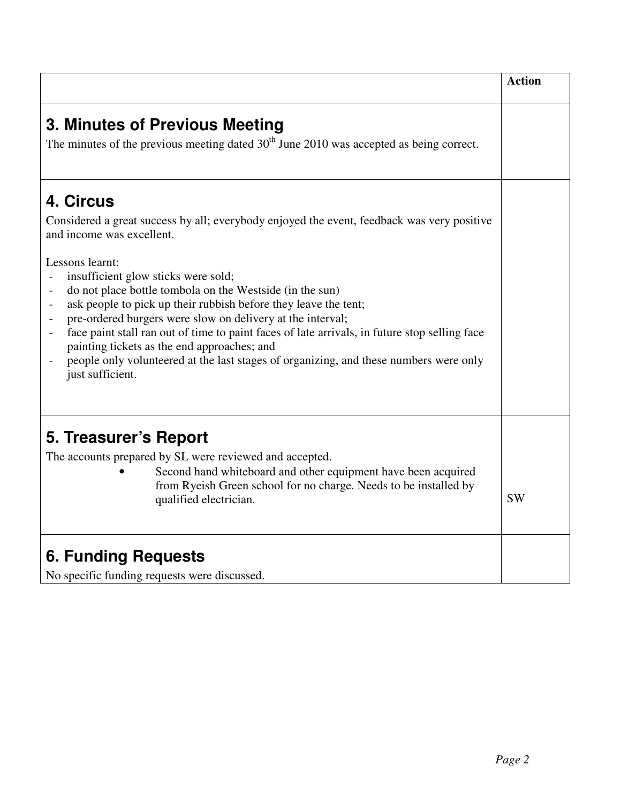|                                                                                                                                                                                                                                                                                                                                                                                                                                                                                                                                                                                                                           | <b>Action</b> |
|---------------------------------------------------------------------------------------------------------------------------------------------------------------------------------------------------------------------------------------------------------------------------------------------------------------------------------------------------------------------------------------------------------------------------------------------------------------------------------------------------------------------------------------------------------------------------------------------------------------------------|---------------|
| 3. Minutes of Previous Meeting<br>The minutes of the previous meeting dated $30th$ June 2010 was accepted as being correct.                                                                                                                                                                                                                                                                                                                                                                                                                                                                                               |               |
| 4. Circus<br>Considered a great success by all; everybody enjoyed the event, feedback was very positive<br>and income was excellent.                                                                                                                                                                                                                                                                                                                                                                                                                                                                                      |               |
| Lessons learnt:<br>insufficient glow sticks were sold;<br>do not place bottle tombola on the Westside (in the sun)<br>$\overline{\phantom{a}}$<br>ask people to pick up their rubbish before they leave the tent;<br>$\overline{\phantom{0}}$<br>pre-ordered burgers were slow on delivery at the interval;<br>face paint stall ran out of time to paint faces of late arrivals, in future stop selling face<br>$\overline{\phantom{0}}$<br>painting tickets as the end approaches; and<br>people only volunteered at the last stages of organizing, and these numbers were only<br>$\qquad \qquad -$<br>just sufficient. |               |
| 5. Treasurer's Report<br>The accounts prepared by SL were reviewed and accepted.<br>Second hand whiteboard and other equipment have been acquired<br>from Ryeish Green school for no charge. Needs to be installed by<br>qualified electrician.                                                                                                                                                                                                                                                                                                                                                                           | <b>SW</b>     |
| 6. Funding Requests<br>No specific funding requests were discussed.                                                                                                                                                                                                                                                                                                                                                                                                                                                                                                                                                       |               |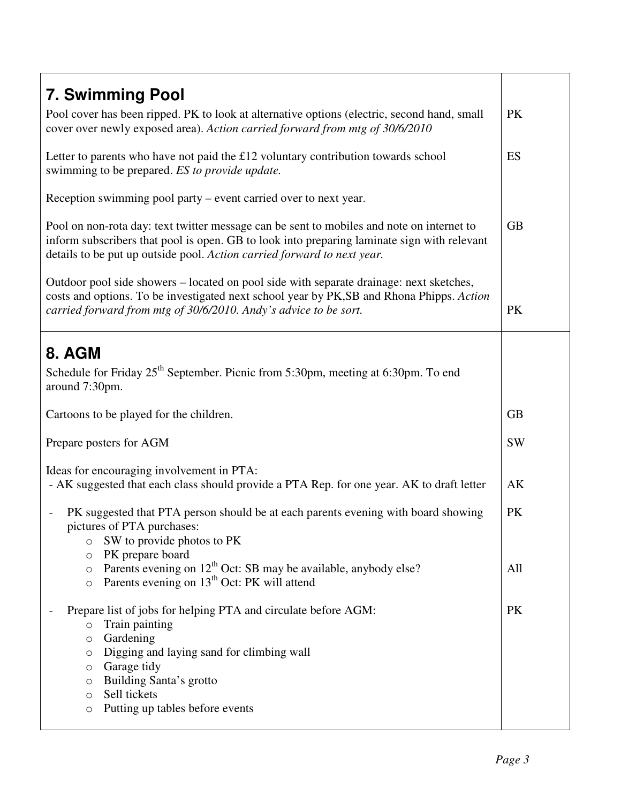| <b>7. Swimming Pool</b>                                                                       |           |
|-----------------------------------------------------------------------------------------------|-----------|
| Pool cover has been ripped. PK to look at alternative options (electric, second hand, small   | <b>PK</b> |
| cover over newly exposed area). Action carried forward from mtg of 30/6/2010                  |           |
|                                                                                               |           |
| Letter to parents who have not paid the £12 voluntary contribution towards school             | ES        |
| swimming to be prepared. ES to provide update.                                                |           |
|                                                                                               |           |
| Reception swimming pool party – event carried over to next year.                              |           |
|                                                                                               |           |
| Pool on non-rota day: text twitter message can be sent to mobiles and note on internet to     | <b>GB</b> |
| inform subscribers that pool is open. GB to look into preparing laminate sign with relevant   |           |
| details to be put up outside pool. Action carried forward to next year.                       |           |
|                                                                                               |           |
| Outdoor pool side showers – located on pool side with separate drainage: next sketches,       |           |
| costs and options. To be investigated next school year by PK,SB and Rhona Phipps. Action      |           |
| carried forward from mtg of 30/6/2010. Andy's advice to be sort.                              | <b>PK</b> |
|                                                                                               |           |
| 8. AGM                                                                                        |           |
|                                                                                               |           |
| Schedule for Friday 25 <sup>th</sup> September. Picnic from 5:30pm, meeting at 6:30pm. To end |           |
| around 7:30pm.                                                                                |           |
| Cartoons to be played for the children.                                                       | <b>GB</b> |
|                                                                                               |           |
| Prepare posters for AGM                                                                       | <b>SW</b> |
|                                                                                               |           |
| Ideas for encouraging involvement in PTA:                                                     |           |
| - AK suggested that each class should provide a PTA Rep. for one year. AK to draft letter     | AK        |
|                                                                                               |           |
| PK suggested that PTA person should be at each parents evening with board showing             | PK        |
| pictures of PTA purchases:                                                                    |           |
| SW to provide photos to PK<br>$\circ$                                                         |           |
| PK prepare board<br>$\circ$                                                                   |           |
| Parents evening on 12 <sup>th</sup> Oct: SB may be available, anybody else?<br>$\circ$        | All       |
| Parents evening on 13 <sup>th</sup> Oct: PK will attend<br>$\circ$                            |           |
|                                                                                               | <b>PK</b> |
| Prepare list of jobs for helping PTA and circulate before AGM:<br>Train painting              |           |
| $\circ$<br>Gardening<br>O                                                                     |           |
| Digging and laying sand for climbing wall<br>O                                                |           |
| Garage tidy<br>$\circ$                                                                        |           |
| Building Santa's grotto<br>$\circ$                                                            |           |
| Sell tickets<br>$\circ$                                                                       |           |
| Putting up tables before events<br>$\circ$                                                    |           |
|                                                                                               |           |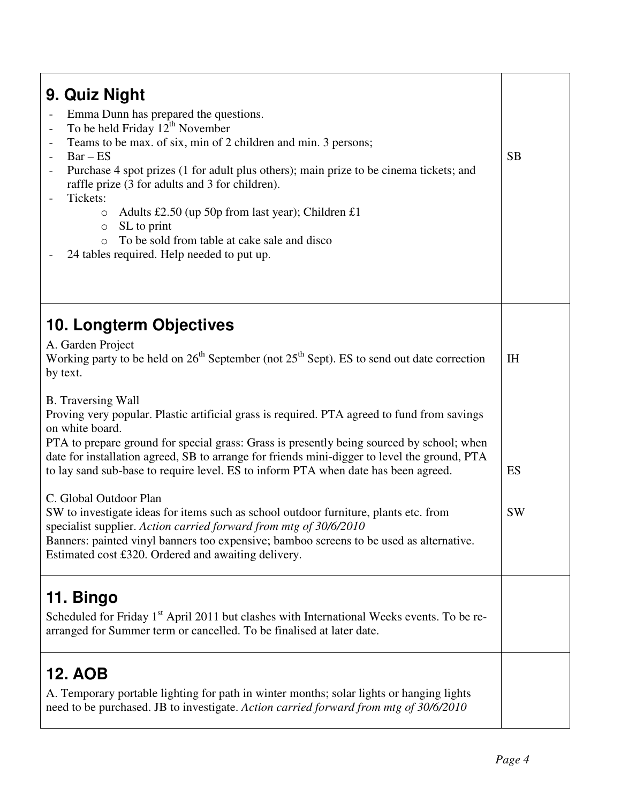| 9. Quiz Night<br>Emma Dunn has prepared the questions.<br>To be held Friday $12^{th}$ November<br>$\qquad \qquad -$<br>Teams to be max. of six, min of 2 children and min. 3 persons;<br>$Bar - ES$<br>Purchase 4 spot prizes (1 for adult plus others); main prize to be cinema tickets; and<br>raffle prize (3 for adults and 3 for children).<br>Tickets:<br>Adults £2.50 (up 50p from last year); Children £1<br>$\circ$<br>SL to print<br>$\circ$<br>To be sold from table at cake sale and disco<br>$\circ$<br>24 tables required. Help needed to put up. | <b>SB</b> |
|-----------------------------------------------------------------------------------------------------------------------------------------------------------------------------------------------------------------------------------------------------------------------------------------------------------------------------------------------------------------------------------------------------------------------------------------------------------------------------------------------------------------------------------------------------------------|-----------|
| <b>10. Longterm Objectives</b><br>A. Garden Project<br>Working party to be held on $26th$ September (not $25th$ Sept). ES to send out date correction<br>by text.                                                                                                                                                                                                                                                                                                                                                                                               | IH        |
| <b>B.</b> Traversing Wall<br>Proving very popular. Plastic artificial grass is required. PTA agreed to fund from savings<br>on white board.<br>PTA to prepare ground for special grass: Grass is presently being sourced by school; when<br>date for installation agreed, SB to arrange for friends mini-digger to level the ground, PTA<br>to lay sand sub-base to require level. ES to inform PTA when date has been agreed.                                                                                                                                  | ES        |
| C. Global Outdoor Plan<br>SW to investigate ideas for items such as school outdoor furniture, plants etc. from<br>specialist supplier. Action carried forward from mtg of 30/6/2010<br>Banners: painted vinyl banners too expensive; bamboo screens to be used as alternative.<br>Estimated cost £320. Ordered and awaiting delivery.                                                                                                                                                                                                                           | <b>SW</b> |
| 11. Bingo<br>Scheduled for Friday 1 <sup>st</sup> April 2011 but clashes with International Weeks events. To be re-<br>arranged for Summer term or cancelled. To be finalised at later date.                                                                                                                                                                                                                                                                                                                                                                    |           |
| <b>12. AOB</b><br>A. Temporary portable lighting for path in winter months; solar lights or hanging lights<br>need to be purchased. JB to investigate. Action carried forward from mtg of 30/6/2010                                                                                                                                                                                                                                                                                                                                                             |           |